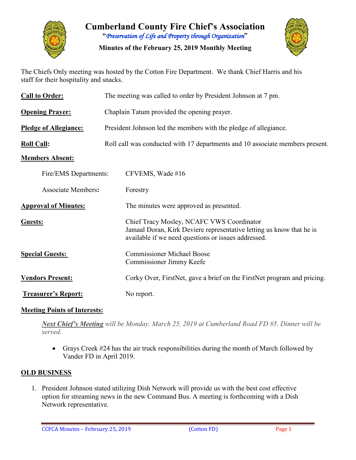

**Cumberland County Fire Chief's Association "***Preservation of Life and Property through Organization***"**

**Minutes of the February 25, 2019 Monthly Meeting**



The Chiefs Only meeting was hosted by the Cotton Fire Department. We thank Chief Harris and his staff for their hospitality and snacks.

| <b>Call to Order:</b>        | The meeting was called to order by President Johnson at 7 pm.                 |                                                                                                                                                                          |
|------------------------------|-------------------------------------------------------------------------------|--------------------------------------------------------------------------------------------------------------------------------------------------------------------------|
| <b>Opening Prayer:</b>       | Chaplain Tatum provided the opening prayer.                                   |                                                                                                                                                                          |
| <b>Pledge of Allegiance:</b> | President Johnson led the members with the pledge of allegiance.              |                                                                                                                                                                          |
| <b>Roll Call:</b>            | Roll call was conducted with 17 departments and 10 associate members present. |                                                                                                                                                                          |
| <b>Members Absent:</b>       |                                                                               |                                                                                                                                                                          |
| Fire/EMS Departments:        |                                                                               | CFVEMS, Wade #16                                                                                                                                                         |
| <b>Associate Members:</b>    |                                                                               | Forestry                                                                                                                                                                 |
| <b>Approval of Minutes:</b>  |                                                                               | The minutes were approved as presented.                                                                                                                                  |
| Guests:                      |                                                                               | Chief Tracy Mosley, NCAFC VWS Coordinator<br>Jamaal Doran, Kirk Deviere representative letting us know that he is<br>available if we need questions or issues addressed. |
| <b>Special Guests:</b>       |                                                                               | <b>Commissioner Michael Boose</b><br>Commissioner Jimmy Keefe                                                                                                            |
| <b>Vendors Present:</b>      |                                                                               | Corky Over, FirstNet, gave a brief on the FirstNet program and pricing.                                                                                                  |
| <b>Treasurer's Report:</b>   |                                                                               | No report.                                                                                                                                                               |

### **Meeting Points of Interests:**

*Next Chief's Meeting will be Monday, March 25, 2019 at Cumberland Road FD #5. Dinner will be served.*

• Grays Creek #24 has the air truck responsibilities during the month of March followed by Vander FD in April 2019.

### **OLD BUSINESS**

1. President Johnson stated utilizing Dish Network will provide us with the best cost effective option for streaming news in the new Command Bus. A meeting is forthcoming with a Dish Network representative.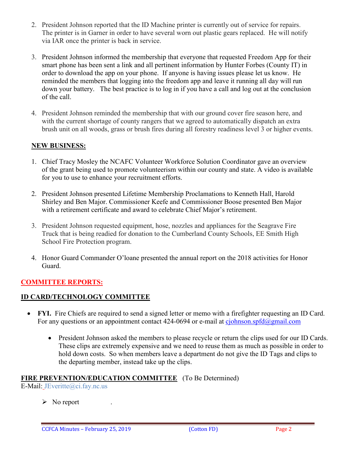- 2. President Johnson reported that the ID Machine printer is currently out of service for repairs. The printer is in Garner in order to have several worn out plastic gears replaced. He will notify via IAR once the printer is back in service.
- 3. President Johnson informed the membership that everyone that requested Freedom App for their smart phone has been sent a link and all pertinent information by Hunter Forbes (County IT) in order to download the app on your phone. If anyone is having issues please let us know. He reminded the members that logging into the freedom app and leave it running all day will run down your battery. The best practice is to log in if you have a call and log out at the conclusion of the call.
- 4. President Johnson reminded the membership that with our ground cover fire season here, and with the current shortage of county rangers that we agreed to automatically dispatch an extra brush unit on all woods, grass or brush fires during all forestry readiness level 3 or higher events.

# **NEW BUSINESS:**

- 1. Chief Tracy Mosley the NCAFC Volunteer Workforce Solution Coordinator gave an overview of the grant being used to promote volunteerism within our county and state. A video is available for you to use to enhance your recruitment efforts.
- 2. President Johnson presented Lifetime Membership Proclamations to Kenneth Hall, Harold Shirley and Ben Major. Commissioner Keefe and Commissioner Boose presented Ben Major with a retirement certificate and award to celebrate Chief Major's retirement.
- 3. President Johnson requested equipment, hose, nozzles and appliances for the Seagrave Fire Truck that is being readied for donation to the Cumberland County Schools, EE Smith High School Fire Protection program.
- 4. Honor Guard Commander O'loane presented the annual report on the 2018 activities for Honor Guard.

# **COMMITTEE REPORTS:**

# **ID CARD/TECHNOLOGY COMMITTEE**

- **FYI.** Fire Chiefs are required to send a signed letter or memo with a firefighter requesting an ID Card. For any questions or an appointment contact 424-0694 or e-mail at  $c$ *johnson.spfd@gmail.com* 
	- President Johnson asked the members to please recycle or return the clips used for our ID Cards. These clips are extremely expensive and we need to reuse them as much as possible in order to hold down costs. So when members leave a department do not give the ID Tags and clips to the departing member, instead take up the clips.

# **FIRE PREVENTION/EDUCATION COMMITTEE** (To Be Determined)

E-Mail: JEveritte@ci.fay.nc.us

 $\triangleright$  No report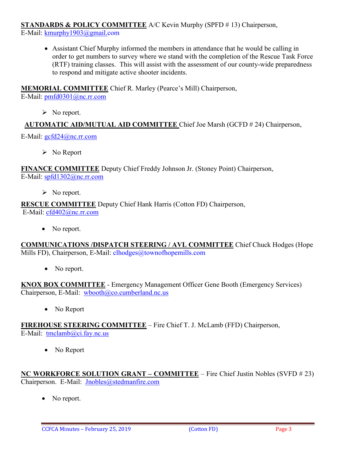**STANDARDS & POLICY COMMITTEE** A/C Kevin Murphy (SPFD # 13) Chairperson,

E-Mail: [kmurphy1903@gmail.com](mailto:kmurphy1903@gmail.com)

• Assistant Chief Murphy informed the members in attendance that he would be calling in order to get numbers to survey where we stand with the completion of the Rescue Task Force (RTF) training classes. This will assist with the assessment of our county-wide preparedness to respond and mitigate active shooter incidents.

# **MEMORIAL COMMITTEE** Chief R. Marley (Pearce's Mill) Chairperson,

E-Mail: [pmfd0301@nc.rr.com](mailto:pmfd0301@nc.rr.com)

 $\triangleright$  No report.

**AUTOMATIC AID/MUTUAL AID COMMITTEE** Chief Joe Marsh (GCFD # 24) Chairperson,

E-Mail: [gcfd24@nc.rr.com](mailto:gcfd24@nc.rr.com)

 $\triangleright$  No Report

**FINANCE COMMITTEE** Deputy Chief Freddy Johnson Jr. (Stoney Point) Chairperson, E-Mail: [spfd1302@nc.rr.com](mailto:spfd1302@nc.rr.com)

 $\triangleright$  No report.

#### **RESCUE COMMITTEE** Deputy Chief Hank Harris (Cotton FD) Chairperson, E-Mail: [cfd402@nc.rr.com](mailto:cfd402@nc.rr.com)

• No report.

**COMMUNICATIONS /DISPATCH STEERING / AVL COMMITTEE** Chief Chuck Hodges (Hope Mills FD), Chairperson, E-Mail: clhodges@townofhopemills.com

• No report.

**KNOX BOX COMMITTEE** - Emergency Management Officer Gene Booth (Emergency Services) Chairperson, E-Mail: [wbooth@co.cumberland.nc.us](mailto:wbooth@co.cumberland.nc.us)

• No Report

**FIREHOUSE STEERING COMMITTEE** – Fire Chief T. J. McLamb (FFD) Chairperson, E-Mail: [tmclamb@ci.fay.nc.us](mailto:tmclamb@ci.fay.nc.us)

• No Report

**NC WORKFORCE SOLUTION GRANT – COMMITTEE** – Fire Chief Justin Nobles (SVFD # 23) Chairperson. E-Mail: [Jnobles@stedmanfire.com](mailto:Jnobles@stedmanfire.com)

• No report.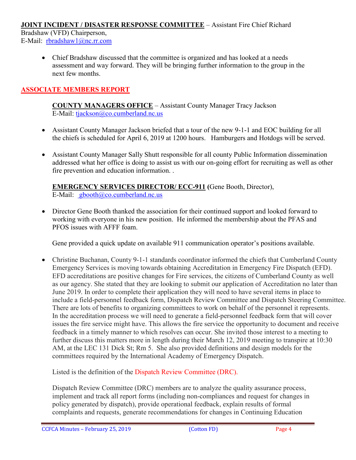#### **JOINT INCIDENT / DISASTER RESPONSE COMMITTEE** – Assistant Fire Chief Richard

Bradshaw (VFD) Chairperson, E-Mail: [rbradshaw1@nc.rr.com](mailto:rbradshaw1@nc.rr.com)

> • Chief Bradshaw discussed that the committee is organized and has looked at a needs assessment and way forward. They will be bringing further information to the group in the next few months.

# **ASSOCIATE MEMBERS REPORT**

**COUNTY MANAGERS OFFICE** – Assistant County Manager Tracy Jackson E-Mail: [tjackson@co.cumberland.nc.us](mailto:tjackson@co.cumberland.nc.us)

- Assistant County Manager Jackson briefed that a tour of the new 9-1-1 and EOC building for all the chiefs is scheduled for April 6, 2019 at 1200 hours. Hamburgers and Hotdogs will be served.
- Assistant County Manager Sally Shutt responsible for all county Public Information dissemination addressed what her office is doing to assist us with our on-going effort for recruiting as well as other fire prevention and education information. .

**EMERGENCY SERVICES DIRECTOR/ ECC-911 (**Gene Booth, Director), E-Mail: [gbooth@co.cumberland.nc.us](mailto:gbooth@co.cumberland.nc.us)

• Director Gene Booth thanked the association for their continued support and looked forward to working with everyone in his new position. He informed the membership about the PFAS and PFOS issues with AFFF foam.

Gene provided a quick update on available 911 communication operator's positions available.

• Christine Buchanan, County 9-1-1 standards coordinator informed the chiefs that Cumberland County Emergency Services is moving towards obtaining Accreditation in Emergency Fire Dispatch (EFD). EFD accreditations are positive changes for Fire services, the citizens of Cumberland County as well as our agency. She stated that they are looking to submit our application of Accreditation no later than June 2019. In order to complete their application they will need to have several items in place to include a field-personnel feedback form, Dispatch Review Committee and Dispatch Steering Committee. There are lots of benefits to organizing committees to work on behalf of the personnel it represents. In the accreditation process we will need to generate a field-personnel feedback form that will cover issues the fire service might have. This allows the fire service the opportunity to document and receive feedback in a timely manner to which resolves can occur. She invited those interest to a meeting to further discuss this matters more in length during their March 12, 2019 meeting to transpire at 10:30 AM, at the LEC 131 Dick St; Rm 5. She also provided definitions and design models for the committees required by the International Academy of Emergency Dispatch.

Listed is the definition of the Dispatch Review Committee (DRC).

Dispatch Review Committee (DRC) members are to analyze the quality assurance process, implement and track all report forms (including non-compliances and request for changes in policy generated by dispatch), provide operational feedback, explain results of formal complaints and requests, generate recommendations for changes in Continuing Education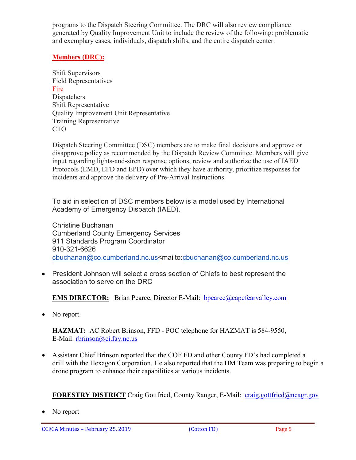programs to the Dispatch Steering Committee. The DRC will also review compliance generated by Quality Improvement Unit to include the review of the following: problematic and exemplary cases, individuals, dispatch shifts, and the entire dispatch center.

# **Members (DRC):**

Shift Supervisors Field Representatives Fire **Dispatchers** Shift Representative Quality Improvement Unit Representative Training Representative CTO

Dispatch Steering Committee (DSC) members are to make final decisions and approve or disapprove policy as recommended by the Dispatch Review Committee. Members will give input regarding lights-and-siren response options, review and authorize the use of IAED Protocols (EMD, EFD and EPD) over which they have authority, prioritize responses for incidents and approve the delivery of Pre-Arrival Instructions.

To aid in selection of DSC members below is a model used by International Academy of Emergency Dispatch (IAED).

Christine Buchanan Cumberland County Emergency Services 911 Standards Program Coordinator 910-321-6626 [cbuchanan@co.cumberland.nc.us<](mailto:cbuchanan@co.cumberland.nc.us)mailto[:cbuchanan@co.cumberland.nc.us](mailto:cbuchanan@co.cumberland.nc.us)

• President Johnson will select a cross section of Chiefs to best represent the association to serve on the DRC

**EMS DIRECTOR:** Brian Pearce, Director E-Mail: bpearce@capefearvalley.com

• No report.

**HAZMAT:** AC Robert Brinson, FFD - POC telephone for HAZMAT is 584-9550, E-Mail: [rbrinson@ci.fay.nc.us](mailto:rbrinson@ci.fay.nc.us)

• Assistant Chief Brinson reported that the COF FD and other County FD's had completed a drill with the Hexagon Corporation. He also reported that the HM Team was preparing to begin a drone program to enhance their capabilities at various incidents.

**FORESTRY DISTRICT** Craig Gottfried, County Ranger, E-Mail: [craig.gottfried@ncagr.gov](mailto:craig.gottfried@ncagr.gov)

• No report